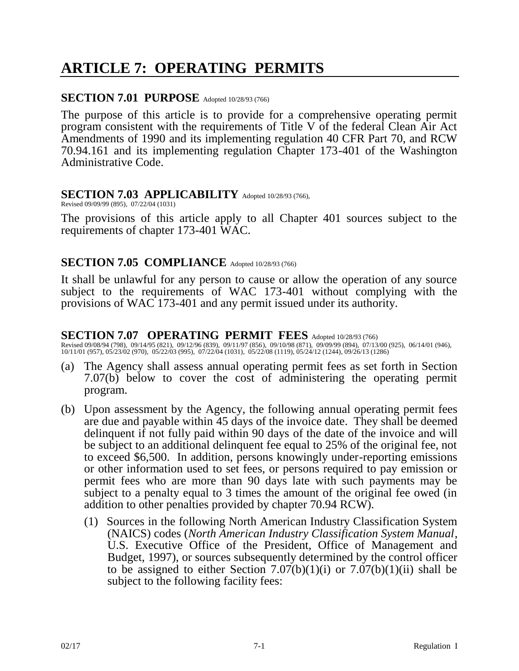# **ARTICLE 7: OPERATING PERMITS**

#### **SECTION 7.01 PURPOSE** Adopted 10/28/93 (766)

The purpose of this article is to provide for a comprehensive operating permit program consistent with the requirements of Title V of the federal Clean Air Act Amendments of 1990 and its implementing regulation 40 CFR Part 70, and RCW 70.94.161 and its implementing regulation Chapter 173-401 of the Washington Administrative Code.

#### SECTION 7.03 APPLICABILITY Adopted 10/28/93 (766),

Revised 09/09/99 (895), 07/22/04 (1031)

The provisions of this article apply to all Chapter 401 sources subject to the requirements of chapter 173-401 WAC.

## SECTION 7.05 COMPLIANCE Adopted 10/28/93 (766)

It shall be unlawful for any person to cause or allow the operation of any source subject to the requirements of WAC 173-401 without complying with the provisions of WAC 173-401 and any permit issued under its authority.

## SECTION 7.07 OPERATING PERMIT FEES Adopted 10/28/93 (766)

Revised 09/08/94 (798), 09/14/95 (821), 09/12/96 (839), 09/11/97 (856), 09/10/98 (871), 09/09/99 (894), 07/13/00 (925), 06/14/01 (946), 10/11/01 (957), 05/23/02 (970), 05/22/03 (995), 07/22/04 (1031), 05/22/08 (1119), 05/24/12 (1244), 09/26/13 (1286)

- (a) The Agency shall assess annual operating permit fees as set forth in Section 7.07(b) below to cover the cost of administering the operating permit program.
- (b) Upon assessment by the Agency, the following annual operating permit fees are due and payable within 45 days of the invoice date. They shall be deemed delinquent if not fully paid within 90 days of the date of the invoice and will be subject to an additional delinquent fee equal to 25% of the original fee, not to exceed \$6,500. In addition, persons knowingly under-reporting emissions or other information used to set fees, or persons required to pay emission or permit fees who are more than 90 days late with such payments may be subject to a penalty equal to 3 times the amount of the original fee owed (in addition to other penalties provided by chapter 70.94 RCW).
	- (1) Sources in the following North American Industry Classification System (NAICS) codes (*North American Industry Classification System Manual*, U.S. Executive Office of the President, Office of Management and Budget, 1997), or sources subsequently determined by the control officer to be assigned to either Section  $7.07(b)(1)(i)$  or  $7.07(b)(1)(ii)$  shall be subject to the following facility fees: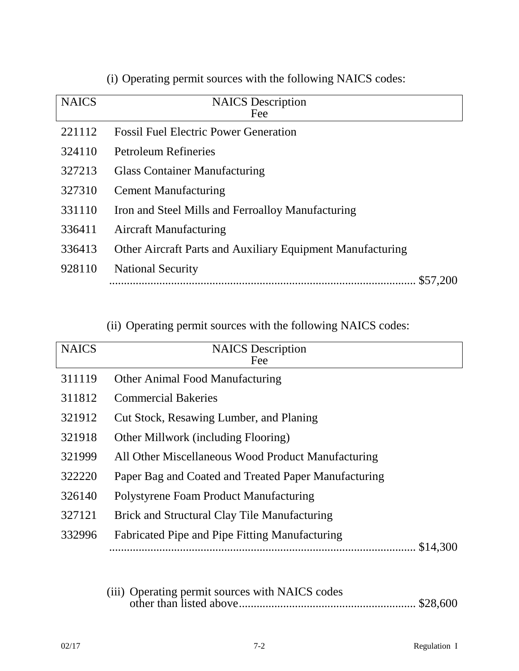| <b>NAICS</b> | <b>NAICS</b> Description                                   |
|--------------|------------------------------------------------------------|
|              | Fee                                                        |
| 221112       | <b>Fossil Fuel Electric Power Generation</b>               |
| 324110       | <b>Petroleum Refineries</b>                                |
| 327213       | <b>Glass Container Manufacturing</b>                       |
| 327310       | <b>Cement Manufacturing</b>                                |
| 331110       | Iron and Steel Mills and Ferroalloy Manufacturing          |
| 336411       | <b>Aircraft Manufacturing</b>                              |
| 336413       | Other Aircraft Parts and Auxiliary Equipment Manufacturing |
| 928110       | <b>National Security</b>                                   |
|              |                                                            |

(i) Operating permit sources with the following NAICS codes:

(ii) Operating permit sources with the following NAICS codes:

| <b>NAICS</b> | <b>NAICS</b> Description<br>Fee                       |
|--------------|-------------------------------------------------------|
| 311119       | <b>Other Animal Food Manufacturing</b>                |
| 311812       | <b>Commercial Bakeries</b>                            |
| 321912       | Cut Stock, Resawing Lumber, and Planing               |
| 321918       | Other Millwork (including Flooring)                   |
| 321999       | All Other Miscellaneous Wood Product Manufacturing    |
| 322220       | Paper Bag and Coated and Treated Paper Manufacturing  |
| 326140       | Polystyrene Foam Product Manufacturing                |
| 327121       | Brick and Structural Clay Tile Manufacturing          |
| 332996       | <b>Fabricated Pipe and Pipe Fitting Manufacturing</b> |
|              | \$14,300                                              |
|              |                                                       |

|  | (iii) Operating permit sources with NAICS codes |  |
|--|-------------------------------------------------|--|
|  |                                                 |  |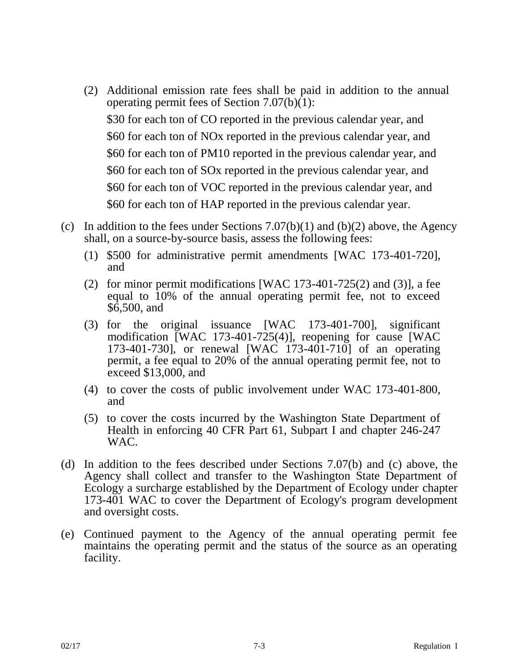- (2) Additional emission rate fees shall be paid in addition to the annual operating permit fees of Section 7.07(b)(1): \$30 for each ton of CO reported in the previous calendar year, and \$60 for each ton of NOx reported in the previous calendar year, and \$60 for each ton of PM10 reported in the previous calendar year, and \$60 for each ton of SOx reported in the previous calendar year, and \$60 for each ton of VOC reported in the previous calendar year, and \$60 for each ton of HAP reported in the previous calendar year.
- (c) In addition to the fees under Sections  $7.07(b)(1)$  and  $(b)(2)$  above, the Agency shall, on a source-by-source basis, assess the following fees:
	- (1) \$500 for administrative permit amendments [WAC 173-401-720], and
	- (2) for minor permit modifications [WAC 173-401-725(2) and (3)], a fee equal to 10% of the annual operating permit fee, not to exceed \$6,500, and
	- (3) for the original issuance [WAC 173-401-700], significant modification [WAC 173-401-725(4)], reopening for cause [WAC 173-401-730], or renewal [WAC 173-401-710] of an operating permit, a fee equal to 20% of the annual operating permit fee, not to exceed \$13,000, and
	- (4) to cover the costs of public involvement under WAC 173-401-800, and
	- (5) to cover the costs incurred by the Washington State Department of Health in enforcing 40 CFR Part 61, Subpart I and chapter 246-247 WAC.
- (d) In addition to the fees described under Sections 7.07(b) and (c) above, the Agency shall collect and transfer to the Washington State Department of Ecology a surcharge established by the Department of Ecology under chapter 173-401 WAC to cover the Department of Ecology's program development and oversight costs.
- (e) Continued payment to the Agency of the annual operating permit fee maintains the operating permit and the status of the source as an operating facility.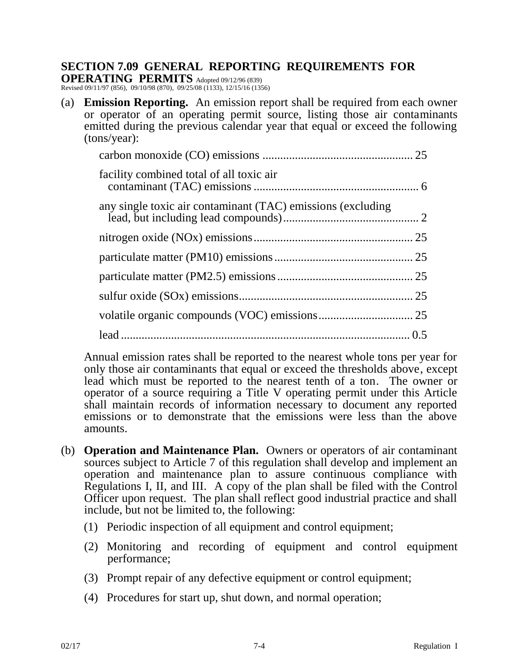## **SECTION 7.09 GENERAL REPORTING REQUIREMENTS FOR**

**OPERATING PERMITS** Adopted 09/12/96 (839) Revised 09/11/97 (856), 09/10/98 (870), 09/25/08 (1133), 12/15/16 (1356)

(a) **Emission Reporting.** An emission report shall be required from each owner or operator of an operating permit source, listing those air contaminants emitted during the previous calendar year that equal or exceed the following (tons/year):

| facility combined total of all toxic air                    |  |
|-------------------------------------------------------------|--|
| any single toxic air contaminant (TAC) emissions (excluding |  |
|                                                             |  |
|                                                             |  |
|                                                             |  |
|                                                             |  |
|                                                             |  |
|                                                             |  |

Annual emission rates shall be reported to the nearest whole tons per year for only those air contaminants that equal or exceed the thresholds above, except lead which must be reported to the nearest tenth of a ton. The owner or operator of a source requiring a Title V operating permit under this Article shall maintain records of information necessary to document any reported emissions or to demonstrate that the emissions were less than the above amounts.

- (b) **Operation and Maintenance Plan.** Owners or operators of air contaminant sources subject to Article 7 of this regulation shall develop and implement an operation and maintenance plan to assure continuous compliance with Regulations I, II, and III. A copy of the plan shall be filed with the Control Officer upon request. The plan shall reflect good industrial practice and shall include, but not be limited to, the following:
	- (1) Periodic inspection of all equipment and control equipment;
	- (2) Monitoring and recording of equipment and control equipment performance;
	- (3) Prompt repair of any defective equipment or control equipment;
	- (4) Procedures for start up, shut down, and normal operation;